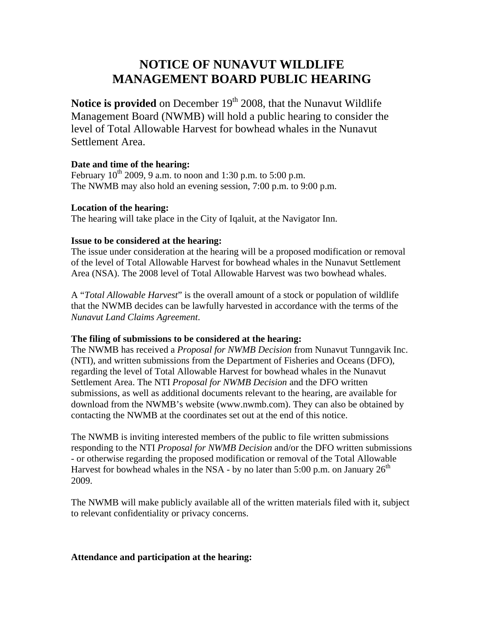# **NOTICE OF NUNAVUT WILDLIFE MANAGEMENT BOARD PUBLIC HEARING**

**Notice is provided** on December 19<sup>th</sup> 2008, that the Nunavut Wildlife Management Board (NWMB) will hold a public hearing to consider the level of Total Allowable Harvest for bowhead whales in the Nunavut Settlement Area.

## **Date and time of the hearing:**

February  $10^{th}$  2009, 9 a.m. to noon and 1:30 p.m. to 5:00 p.m. The NWMB may also hold an evening session, 7:00 p.m. to 9:00 p.m.

## **Location of the hearing:**

The hearing will take place in the City of Iqaluit, at the Navigator Inn.

## **Issue to be considered at the hearing:**

The issue under consideration at the hearing will be a proposed modification or removal of the level of Total Allowable Harvest for bowhead whales in the Nunavut Settlement Area (NSA). The 2008 level of Total Allowable Harvest was two bowhead whales.

A "*Total Allowable Harvest*" is the overall amount of a stock or population of wildlife that the NWMB decides can be lawfully harvested in accordance with the terms of the *Nunavut Land Claims Agreement*.

### **The filing of submissions to be considered at the hearing:**

The NWMB has received a *Proposal for NWMB Decision* from Nunavut Tunngavik Inc. (NTI), and written submissions from the Department of Fisheries and Oceans (DFO), regarding the level of Total Allowable Harvest for bowhead whales in the Nunavut Settlement Area. The NTI *Proposal for NWMB Decision* and the DFO written submissions, as well as additional documents relevant to the hearing, are available for download from the NWMB's website (www.nwmb.com). They can also be obtained by contacting the NWMB at the coordinates set out at the end of this notice.

The NWMB is inviting interested members of the public to file written submissions responding to the NTI *Proposal for NWMB Decision* and/or the DFO written submissions - or otherwise regarding the proposed modification or removal of the Total Allowable Harvest for bowhead whales in the NSA - by no later than 5:00 p.m. on January  $26<sup>th</sup>$ 2009.

The NWMB will make publicly available all of the written materials filed with it, subject to relevant confidentiality or privacy concerns.

### **Attendance and participation at the hearing:**